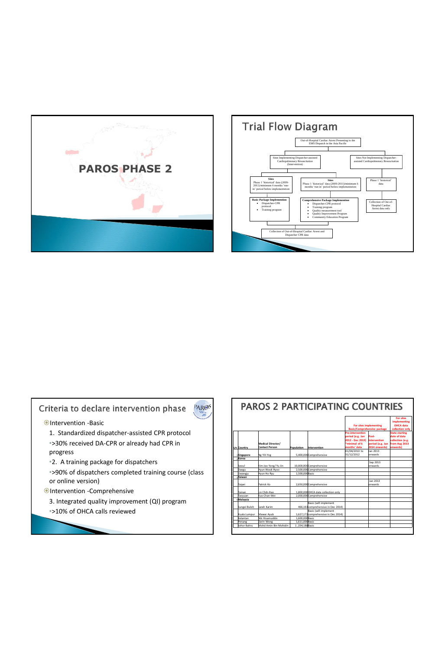



## Criteria to declare intervention phase

PAR@S



- 1. Standardized dispatcher-assisted CPR protocol •>30% received DA-CPR or already had CPR in progress
- •2. A training package for dispatchers
- •>90% of dispatchers completed training course (class or online version)
- Intervention -Comprehensive
	- 3. Integrated quality improvement (QI) program •>10% of OHCA calls reviewed

|                    |                                                   |                 |                                                                    | For sites implementing<br><b>Basic/Comprehensive package</b>                                    |                                                            | <b>For sites</b><br>implementing<br><b>OHCA</b> data<br>collection only                |
|--------------------|---------------------------------------------------|-----------------|--------------------------------------------------------------------|-------------------------------------------------------------------------------------------------|------------------------------------------------------------|----------------------------------------------------------------------------------------|
| S/N Country        | <b>Medical Director/</b><br><b>Contact Person</b> | Population      | Intervention                                                       | <b>Pre-intervention</b><br>period (e.g. Jan<br>2012 - Dec 2013)<br>minimal of 6<br>months' data | Post-<br>Intervention<br>period (e.g. Jan<br>2014 onwards) | <b>State starting</b><br>date of data<br>collection (e.g.<br>from Aug 2013<br>onwards) |
|                    |                                                   |                 | 5.400.000 Comprehensive                                            | 01/04/2010 to<br>31/12/2012                                                                     | lan 2013<br>onwards                                        |                                                                                        |
| Singapore<br>Korea | Ng Yih Yng                                        |                 |                                                                    |                                                                                                 |                                                            |                                                                                        |
|                    |                                                   |                 |                                                                    |                                                                                                 |                                                            |                                                                                        |
| Seoul              | Kim Joo Yong/ Yu Jin                              |                 | 10,000,000Comprehensive                                            |                                                                                                 | Sep 2013<br>onwards                                        |                                                                                        |
| Daegu              | Hyun Wook Ryoo                                    |                 | 2.500.000Comprehensive                                             |                                                                                                 |                                                            |                                                                                        |
| Gwangiu            | Hyun Ho Ryu                                       | 1.500.000Basic  |                                                                    |                                                                                                 |                                                            |                                                                                        |
| Taiwan             |                                                   |                 |                                                                    |                                                                                                 |                                                            |                                                                                        |
| Taipei             | Patrick Ko                                        |                 | 2.650.000Comprehensive                                             |                                                                                                 | lan 2013<br>onwards                                        |                                                                                        |
| Tainan             | I in Chih-Han                                     |                 | 1,800,000 OHCA data collection only                                |                                                                                                 |                                                            |                                                                                        |
| Taoyuan            | Kuo Chan-Wei                                      |                 | 2.000.000 Comprehensive                                            |                                                                                                 |                                                            |                                                                                        |
| Malaysia           |                                                   |                 |                                                                    |                                                                                                 |                                                            |                                                                                        |
| Sungei Buloh       | Sarah Karim                                       |                 | <b>Basic (will implement</b><br>466.163 comprehensive in Dec 2014) |                                                                                                 |                                                            |                                                                                        |
| Kuala Lumpur       | Mawar Avub                                        |                 | Basic (will implement<br>1.627.172 comprehensive in Dec 2014)      |                                                                                                 |                                                            |                                                                                        |
| Kelantan           | Nik Hisamuddin                                    | 1.600.000Basic  |                                                                    |                                                                                                 |                                                            |                                                                                        |
| Penang             | Darin Wong                                        | 1.611.000 Basic |                                                                    |                                                                                                 |                                                            |                                                                                        |
| Johor Bahru        | Mohd Amin Rin Mohidin                             | 1.334.188Basic  |                                                                    |                                                                                                 |                                                            |                                                                                        |